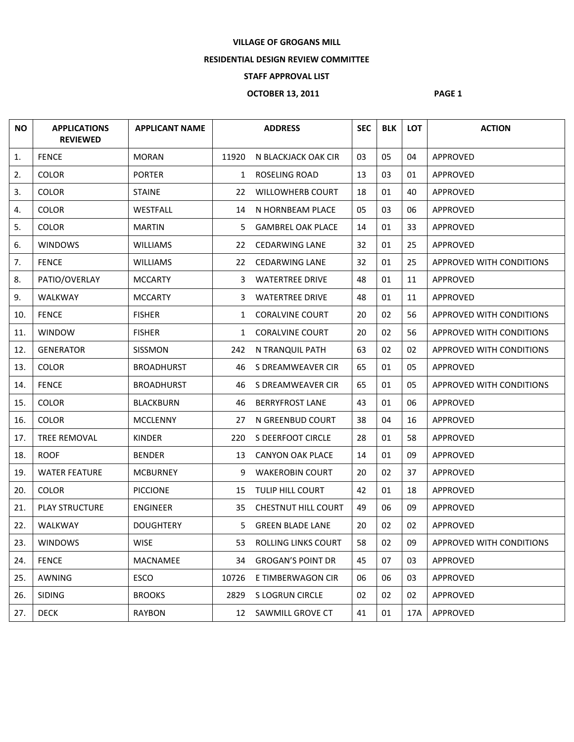#### **VILLAGE OF GROGANS MILL**

### **RESIDENTIAL DESIGN REVIEW COMMITTEE**

## **STAFF APPROVAL LIST**

# **OCTOBER 13, 2011** PAGE 1

| <b>NO</b> | <b>APPLICATIONS</b><br><b>REVIEWED</b> | <b>APPLICANT NAME</b> | <b>ADDRESS</b> |                            | <b>SEC</b> | <b>BLK</b> | <b>LOT</b> | <b>ACTION</b>                   |
|-----------|----------------------------------------|-----------------------|----------------|----------------------------|------------|------------|------------|---------------------------------|
| 1.        | <b>FENCE</b>                           | <b>MORAN</b>          | 11920          | N BLACKJACK OAK CIR        | 03         | 05         | 04         | APPROVED                        |
| 2.        | <b>COLOR</b>                           | <b>PORTER</b>         | $\mathbf{1}$   | ROSELING ROAD              | 13         | 03         | 01         | APPROVED                        |
| 3.        | <b>COLOR</b>                           | <b>STAINE</b>         | 22             | <b>WILLOWHERB COURT</b>    | 18         | 01         | 40         | APPROVED                        |
| 4.        | <b>COLOR</b>                           | WESTFALL              | 14             | N HORNBEAM PLACE           | 05         | 03         | 06         | APPROVED                        |
| 5.        | <b>COLOR</b>                           | <b>MARTIN</b>         | 5.             | <b>GAMBREL OAK PLACE</b>   | 14         | 01         | 33         | APPROVED                        |
| 6.        | <b>WINDOWS</b>                         | <b>WILLIAMS</b>       | 22             | <b>CEDARWING LANE</b>      | 32         | 01         | 25         | APPROVED                        |
| 7.        | <b>FENCE</b>                           | <b>WILLIAMS</b>       |                | 22 CEDARWING LANE          | 32         | 01         | 25         | APPROVED WITH CONDITIONS        |
| 8.        | PATIO/OVERLAY                          | <b>MCCARTY</b>        | 3              | <b>WATERTREE DRIVE</b>     | 48         | 01         | 11         | <b>APPROVED</b>                 |
| 9.        | WALKWAY                                | <b>MCCARTY</b>        | 3              | <b>WATERTREE DRIVE</b>     | 48         | 01         | 11         | APPROVED                        |
| 10.       | <b>FENCE</b>                           | <b>FISHER</b>         | $\mathbf{1}$   | <b>CORALVINE COURT</b>     | 20         | 02         | 56         | APPROVED WITH CONDITIONS        |
| 11.       | <b>WINDOW</b>                          | <b>FISHER</b>         | $\mathbf{1}$   | <b>CORALVINE COURT</b>     | 20         | 02         | 56         | APPROVED WITH CONDITIONS        |
| 12.       | <b>GENERATOR</b>                       | <b>SISSMON</b>        | 242            | N TRANQUIL PATH            | 63         | 02         | 02         | APPROVED WITH CONDITIONS        |
| 13.       | <b>COLOR</b>                           | <b>BROADHURST</b>     | 46             | S DREAMWEAVER CIR          | 65         | 01         | 05         | APPROVED                        |
| 14.       | <b>FENCE</b>                           | <b>BROADHURST</b>     | 46             | S DREAMWEAVER CIR          | 65         | 01         | 05         | <b>APPROVED WITH CONDITIONS</b> |
| 15.       | <b>COLOR</b>                           | <b>BLACKBURN</b>      | 46             | <b>BERRYFROST LANE</b>     | 43         | 01         | 06         | APPROVED                        |
| 16.       | <b>COLOR</b>                           | <b>MCCLENNY</b>       | 27             | N GREENBUD COURT           | 38         | 04         | 16         | APPROVED                        |
| 17.       | <b>TREE REMOVAL</b>                    | <b>KINDER</b>         | 220            | S DEERFOOT CIRCLE          | 28         | 01         | 58         | APPROVED                        |
| 18.       | <b>ROOF</b>                            | <b>BENDER</b>         | 13             | <b>CANYON OAK PLACE</b>    | 14         | 01         | 09         | APPROVED                        |
| 19.       | <b>WATER FEATURE</b>                   | <b>MCBURNEY</b>       | 9              | <b>WAKEROBIN COURT</b>     | 20         | 02         | 37         | APPROVED                        |
| 20.       | <b>COLOR</b>                           | <b>PICCIONE</b>       | 15             | TULIP HILL COURT           | 42         | 01         | 18         | APPROVED                        |
| 21.       | <b>PLAY STRUCTURE</b>                  | <b>ENGINEER</b>       | 35             | <b>CHESTNUT HILL COURT</b> | 49         | 06         | 09         | APPROVED                        |
| 22.       | WALKWAY                                | <b>DOUGHTERY</b>      | 5.             | <b>GREEN BLADE LANE</b>    | 20         | 02         | 02         | APPROVED                        |
| 23.       | <b>WINDOWS</b>                         | WISE                  | 53             | ROLLING LINKS COURT        | 58         | 02         | 09         | APPROVED WITH CONDITIONS        |
| 24.       | <b>FENCE</b>                           | MACNAMEE              |                | 34 GROGAN'S POINT DR       | 45         | 07         | 03         | APPROVED                        |
| 25.       | AWNING                                 | <b>ESCO</b>           | 10726          | E TIMBERWAGON CIR          | 06         | 06         | 03         | <b>APPROVED</b>                 |
| 26.       | <b>SIDING</b>                          | <b>BROOKS</b>         | 2829           | S LOGRUN CIRCLE            | 02         | 02         | 02         | APPROVED                        |
| 27.       | <b>DECK</b>                            | <b>RAYBON</b>         |                | 12 SAWMILL GROVE CT        | 41         | 01         | 17A        | APPROVED                        |